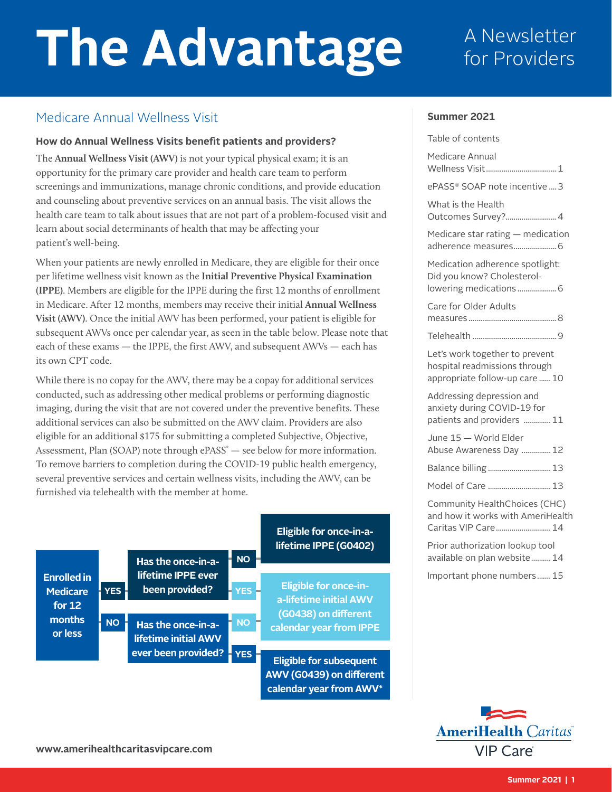# The Advantage **A Newsletter**

## for Providers

## Medicare Annual Wellness Visit

#### **How do Annual Wellness Visits benefit patients and providers?**

The **Annual Wellness Visit (AWV)** is not your typical physical exam; it is an opportunity for the primary care provider and health care team to perform screenings and immunizations, manage chronic conditions, and provide education and counseling about preventive services on an annual basis. The visit allows the health care team to talk about issues that are not part of a problem-focused visit and learn about social determinants of health that may be affecting your patient's well-being.

When your patients are newly enrolled in Medicare, they are eligible for their once per lifetime wellness visit known as the **Initial Preventive Physical Examination (IPPE)**. Members are eligible for the IPPE during the first 12 months of enrollment in Medicare. After 12 months, members may receive their initial **Annual Wellness Visit (AWV)**. Once the initial AWV has been performed, your patient is eligible for subsequent AWVs once per calendar year, as seen in the table below. Please note that each of these exams — the IPPE, the first AWV, and subsequent AWVs — each has its own CPT code.

While there is no copay for the AWV, there may be a copay for additional services conducted, such as addressing other medical problems or performing diagnostic imaging, during the visit that are not covered under the preventive benefits. These additional services can also be submitted on the AWV claim. Providers are also eligible for an additional \$175 for submitting a completed Subjective, Objective, Assessment, Plan (SOAP) note through ePASS<sup>®</sup> — see below for more information. To remove barriers to completion during the COVID-19 public health emergency, several preventive services and certain wellness visits, including the AWV, can be furnished via telehealth with the member at home.

**ever been provided? YES**

|  |                    |            | Has the once-in-a-          | <b>NO</b> |
|--|--------------------|------------|-----------------------------|-----------|
|  | <b>Enrolled</b> in |            | lifetime IPPE ever          |           |
|  | <b>Medicare</b>    | <b>YES</b> | been provided?              | ES        |
|  | for $12$           |            |                             |           |
|  | months             | <b>NO</b>  | Has the once-in-a-          | <b>NO</b> |
|  | or less            |            | <b>lifetime initial AWV</b> |           |
|  |                    |            | <b>Aver heen provided?</b>  |           |

#### **Eligible for once-in-alifetime IPPE (G0402)**

**Eligible for once-ina-lifetime initial AWV (G0438) on different calendar year from IPPE**

**Eligible for subsequent AWV (G0439) on different calendar year from AWV\***

#### **Summer 2021**

| Table of contents                                                                                 |
|---------------------------------------------------------------------------------------------------|
| Medicare Annual                                                                                   |
| ePASS® SOAP note incentive  3                                                                     |
| What is the Health<br>Outcomes Survey?4                                                           |
| Medicare star rating - medication                                                                 |
| Medication adherence spotlight:<br>Did you know? Cholesterol-                                     |
| Care for Older Adults                                                                             |
|                                                                                                   |
| Let's work together to prevent<br>hospital readmissions through<br>appropriate follow-up care  10 |
| Addressing depression and<br>anxiety during COVID-19 for<br>patients and providers  11            |
| June 15 - World Elder<br>Abuse Awareness Day  12                                                  |
| Balance billing  13                                                                               |
| Model of Care  13                                                                                 |
| Community HealthChoices (CHC)<br>and how it works with AmeriHealth<br>Caritas VIP Care 14         |
| Prior authorization lookup tool<br>available on plan website 14                                   |
| Important phone numbers 15                                                                        |
|                                                                                                   |

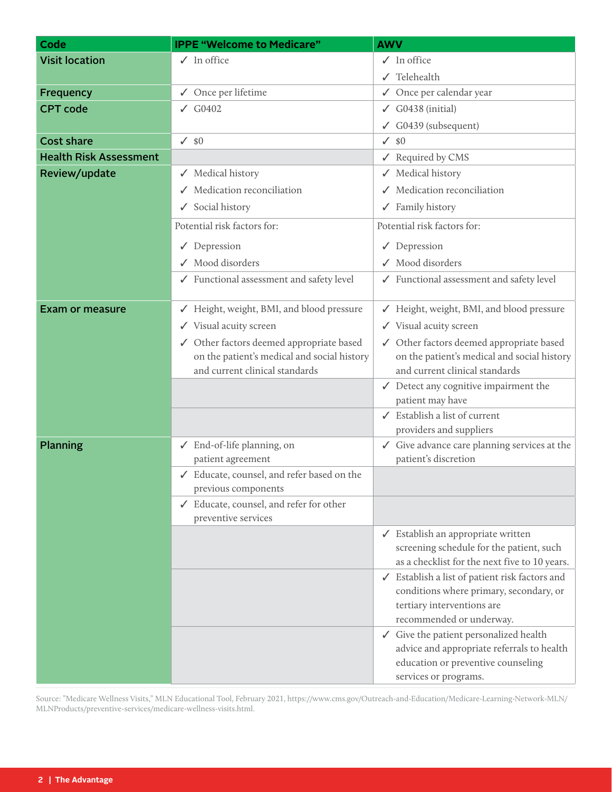| <b>Visit location</b><br>$\checkmark$ In office<br>$\checkmark$ In office<br>Telehealth<br>Once per calendar year<br>√ Once per lifetime<br><b>Frequency</b><br>$\checkmark$<br><b>CPT</b> code<br>$\sqrt{G0402}$<br>G0438 (initial)<br>✓<br>$\checkmark$ G0439 (subsequent)<br><b>Cost share</b><br>$\sqrt{80}$<br>\$0<br>$\checkmark$<br><b>Health Risk Assessment</b><br>Required by CMS<br>$\checkmark$<br>Review/update<br>√ Medical history<br>Medical history<br>$\checkmark$ Medication reconciliation<br>Medication reconciliation<br>$\checkmark$ Social history<br>$\checkmark$ Family history<br>Potential risk factors for:<br>Potential risk factors for:<br>$\sqrt{}$ Depression<br>$\sqrt{}$ Depression<br>√ Mood disorders<br>✔ Mood disorders<br>√ Functional assessment and safety level<br>√ Functional assessment and safety level<br>√ Height, weight, BMI, and blood pressure<br>Height, weight, BMI, and blood pressure<br><b>Exam or measure</b><br>√ Visual acuity screen<br>√ Visual acuity screen<br>√ Other factors deemed appropriate based<br>√ Other factors deemed appropriate based<br>on the patient's medical and social history<br>on the patient's medical and social history<br>and current clinical standards<br>and current clinical standards<br>$\checkmark$ Detect any cognitive impairment the<br>patient may have<br>$\checkmark$ Establish a list of current<br>providers and suppliers<br><b>Planning</b><br>√ Give advance care planning services at the<br>✔ End-of-life planning, on<br>patient's discretion<br>patient agreement<br>√ Educate, counsel, and refer based on the<br>previous components<br>✔ Educate, counsel, and refer for other<br>preventive services<br>✓ Establish an appropriate written<br>screening schedule for the patient, such<br>as a checklist for the next five to 10 years.<br>Establish a list of patient risk factors and<br>✓<br>conditions where primary, secondary, or<br>tertiary interventions are<br>recommended or underway.<br>$\checkmark$ Give the patient personalized health<br>advice and appropriate referrals to health<br>education or preventive counseling | Code | <b>IPPE "Welcome to Medicare"</b> | <b>AWV</b>            |
|-------------------------------------------------------------------------------------------------------------------------------------------------------------------------------------------------------------------------------------------------------------------------------------------------------------------------------------------------------------------------------------------------------------------------------------------------------------------------------------------------------------------------------------------------------------------------------------------------------------------------------------------------------------------------------------------------------------------------------------------------------------------------------------------------------------------------------------------------------------------------------------------------------------------------------------------------------------------------------------------------------------------------------------------------------------------------------------------------------------------------------------------------------------------------------------------------------------------------------------------------------------------------------------------------------------------------------------------------------------------------------------------------------------------------------------------------------------------------------------------------------------------------------------------------------------------------------------------------------------------------------------------------------------------------------------------------------------------------------------------------------------------------------------------------------------------------------------------------------------------------------------------------------------------------------------------------------------------------------------------------------------------------------------------------------------------------------------------------------------------------------------------------------------------|------|-----------------------------------|-----------------------|
|                                                                                                                                                                                                                                                                                                                                                                                                                                                                                                                                                                                                                                                                                                                                                                                                                                                                                                                                                                                                                                                                                                                                                                                                                                                                                                                                                                                                                                                                                                                                                                                                                                                                                                                                                                                                                                                                                                                                                                                                                                                                                                                                                                   |      |                                   |                       |
|                                                                                                                                                                                                                                                                                                                                                                                                                                                                                                                                                                                                                                                                                                                                                                                                                                                                                                                                                                                                                                                                                                                                                                                                                                                                                                                                                                                                                                                                                                                                                                                                                                                                                                                                                                                                                                                                                                                                                                                                                                                                                                                                                                   |      |                                   |                       |
|                                                                                                                                                                                                                                                                                                                                                                                                                                                                                                                                                                                                                                                                                                                                                                                                                                                                                                                                                                                                                                                                                                                                                                                                                                                                                                                                                                                                                                                                                                                                                                                                                                                                                                                                                                                                                                                                                                                                                                                                                                                                                                                                                                   |      |                                   |                       |
|                                                                                                                                                                                                                                                                                                                                                                                                                                                                                                                                                                                                                                                                                                                                                                                                                                                                                                                                                                                                                                                                                                                                                                                                                                                                                                                                                                                                                                                                                                                                                                                                                                                                                                                                                                                                                                                                                                                                                                                                                                                                                                                                                                   |      |                                   |                       |
|                                                                                                                                                                                                                                                                                                                                                                                                                                                                                                                                                                                                                                                                                                                                                                                                                                                                                                                                                                                                                                                                                                                                                                                                                                                                                                                                                                                                                                                                                                                                                                                                                                                                                                                                                                                                                                                                                                                                                                                                                                                                                                                                                                   |      |                                   |                       |
|                                                                                                                                                                                                                                                                                                                                                                                                                                                                                                                                                                                                                                                                                                                                                                                                                                                                                                                                                                                                                                                                                                                                                                                                                                                                                                                                                                                                                                                                                                                                                                                                                                                                                                                                                                                                                                                                                                                                                                                                                                                                                                                                                                   |      |                                   |                       |
|                                                                                                                                                                                                                                                                                                                                                                                                                                                                                                                                                                                                                                                                                                                                                                                                                                                                                                                                                                                                                                                                                                                                                                                                                                                                                                                                                                                                                                                                                                                                                                                                                                                                                                                                                                                                                                                                                                                                                                                                                                                                                                                                                                   |      |                                   |                       |
|                                                                                                                                                                                                                                                                                                                                                                                                                                                                                                                                                                                                                                                                                                                                                                                                                                                                                                                                                                                                                                                                                                                                                                                                                                                                                                                                                                                                                                                                                                                                                                                                                                                                                                                                                                                                                                                                                                                                                                                                                                                                                                                                                                   |      |                                   |                       |
|                                                                                                                                                                                                                                                                                                                                                                                                                                                                                                                                                                                                                                                                                                                                                                                                                                                                                                                                                                                                                                                                                                                                                                                                                                                                                                                                                                                                                                                                                                                                                                                                                                                                                                                                                                                                                                                                                                                                                                                                                                                                                                                                                                   |      |                                   |                       |
|                                                                                                                                                                                                                                                                                                                                                                                                                                                                                                                                                                                                                                                                                                                                                                                                                                                                                                                                                                                                                                                                                                                                                                                                                                                                                                                                                                                                                                                                                                                                                                                                                                                                                                                                                                                                                                                                                                                                                                                                                                                                                                                                                                   |      |                                   |                       |
|                                                                                                                                                                                                                                                                                                                                                                                                                                                                                                                                                                                                                                                                                                                                                                                                                                                                                                                                                                                                                                                                                                                                                                                                                                                                                                                                                                                                                                                                                                                                                                                                                                                                                                                                                                                                                                                                                                                                                                                                                                                                                                                                                                   |      |                                   |                       |
|                                                                                                                                                                                                                                                                                                                                                                                                                                                                                                                                                                                                                                                                                                                                                                                                                                                                                                                                                                                                                                                                                                                                                                                                                                                                                                                                                                                                                                                                                                                                                                                                                                                                                                                                                                                                                                                                                                                                                                                                                                                                                                                                                                   |      |                                   |                       |
|                                                                                                                                                                                                                                                                                                                                                                                                                                                                                                                                                                                                                                                                                                                                                                                                                                                                                                                                                                                                                                                                                                                                                                                                                                                                                                                                                                                                                                                                                                                                                                                                                                                                                                                                                                                                                                                                                                                                                                                                                                                                                                                                                                   |      |                                   |                       |
|                                                                                                                                                                                                                                                                                                                                                                                                                                                                                                                                                                                                                                                                                                                                                                                                                                                                                                                                                                                                                                                                                                                                                                                                                                                                                                                                                                                                                                                                                                                                                                                                                                                                                                                                                                                                                                                                                                                                                                                                                                                                                                                                                                   |      |                                   |                       |
|                                                                                                                                                                                                                                                                                                                                                                                                                                                                                                                                                                                                                                                                                                                                                                                                                                                                                                                                                                                                                                                                                                                                                                                                                                                                                                                                                                                                                                                                                                                                                                                                                                                                                                                                                                                                                                                                                                                                                                                                                                                                                                                                                                   |      |                                   |                       |
|                                                                                                                                                                                                                                                                                                                                                                                                                                                                                                                                                                                                                                                                                                                                                                                                                                                                                                                                                                                                                                                                                                                                                                                                                                                                                                                                                                                                                                                                                                                                                                                                                                                                                                                                                                                                                                                                                                                                                                                                                                                                                                                                                                   |      |                                   |                       |
|                                                                                                                                                                                                                                                                                                                                                                                                                                                                                                                                                                                                                                                                                                                                                                                                                                                                                                                                                                                                                                                                                                                                                                                                                                                                                                                                                                                                                                                                                                                                                                                                                                                                                                                                                                                                                                                                                                                                                                                                                                                                                                                                                                   |      |                                   |                       |
|                                                                                                                                                                                                                                                                                                                                                                                                                                                                                                                                                                                                                                                                                                                                                                                                                                                                                                                                                                                                                                                                                                                                                                                                                                                                                                                                                                                                                                                                                                                                                                                                                                                                                                                                                                                                                                                                                                                                                                                                                                                                                                                                                                   |      |                                   |                       |
|                                                                                                                                                                                                                                                                                                                                                                                                                                                                                                                                                                                                                                                                                                                                                                                                                                                                                                                                                                                                                                                                                                                                                                                                                                                                                                                                                                                                                                                                                                                                                                                                                                                                                                                                                                                                                                                                                                                                                                                                                                                                                                                                                                   |      |                                   |                       |
|                                                                                                                                                                                                                                                                                                                                                                                                                                                                                                                                                                                                                                                                                                                                                                                                                                                                                                                                                                                                                                                                                                                                                                                                                                                                                                                                                                                                                                                                                                                                                                                                                                                                                                                                                                                                                                                                                                                                                                                                                                                                                                                                                                   |      |                                   |                       |
|                                                                                                                                                                                                                                                                                                                                                                                                                                                                                                                                                                                                                                                                                                                                                                                                                                                                                                                                                                                                                                                                                                                                                                                                                                                                                                                                                                                                                                                                                                                                                                                                                                                                                                                                                                                                                                                                                                                                                                                                                                                                                                                                                                   |      |                                   |                       |
|                                                                                                                                                                                                                                                                                                                                                                                                                                                                                                                                                                                                                                                                                                                                                                                                                                                                                                                                                                                                                                                                                                                                                                                                                                                                                                                                                                                                                                                                                                                                                                                                                                                                                                                                                                                                                                                                                                                                                                                                                                                                                                                                                                   |      |                                   |                       |
|                                                                                                                                                                                                                                                                                                                                                                                                                                                                                                                                                                                                                                                                                                                                                                                                                                                                                                                                                                                                                                                                                                                                                                                                                                                                                                                                                                                                                                                                                                                                                                                                                                                                                                                                                                                                                                                                                                                                                                                                                                                                                                                                                                   |      |                                   |                       |
|                                                                                                                                                                                                                                                                                                                                                                                                                                                                                                                                                                                                                                                                                                                                                                                                                                                                                                                                                                                                                                                                                                                                                                                                                                                                                                                                                                                                                                                                                                                                                                                                                                                                                                                                                                                                                                                                                                                                                                                                                                                                                                                                                                   |      |                                   |                       |
|                                                                                                                                                                                                                                                                                                                                                                                                                                                                                                                                                                                                                                                                                                                                                                                                                                                                                                                                                                                                                                                                                                                                                                                                                                                                                                                                                                                                                                                                                                                                                                                                                                                                                                                                                                                                                                                                                                                                                                                                                                                                                                                                                                   |      |                                   |                       |
|                                                                                                                                                                                                                                                                                                                                                                                                                                                                                                                                                                                                                                                                                                                                                                                                                                                                                                                                                                                                                                                                                                                                                                                                                                                                                                                                                                                                                                                                                                                                                                                                                                                                                                                                                                                                                                                                                                                                                                                                                                                                                                                                                                   |      |                                   |                       |
|                                                                                                                                                                                                                                                                                                                                                                                                                                                                                                                                                                                                                                                                                                                                                                                                                                                                                                                                                                                                                                                                                                                                                                                                                                                                                                                                                                                                                                                                                                                                                                                                                                                                                                                                                                                                                                                                                                                                                                                                                                                                                                                                                                   |      |                                   |                       |
|                                                                                                                                                                                                                                                                                                                                                                                                                                                                                                                                                                                                                                                                                                                                                                                                                                                                                                                                                                                                                                                                                                                                                                                                                                                                                                                                                                                                                                                                                                                                                                                                                                                                                                                                                                                                                                                                                                                                                                                                                                                                                                                                                                   |      |                                   |                       |
|                                                                                                                                                                                                                                                                                                                                                                                                                                                                                                                                                                                                                                                                                                                                                                                                                                                                                                                                                                                                                                                                                                                                                                                                                                                                                                                                                                                                                                                                                                                                                                                                                                                                                                                                                                                                                                                                                                                                                                                                                                                                                                                                                                   |      |                                   |                       |
|                                                                                                                                                                                                                                                                                                                                                                                                                                                                                                                                                                                                                                                                                                                                                                                                                                                                                                                                                                                                                                                                                                                                                                                                                                                                                                                                                                                                                                                                                                                                                                                                                                                                                                                                                                                                                                                                                                                                                                                                                                                                                                                                                                   |      |                                   |                       |
|                                                                                                                                                                                                                                                                                                                                                                                                                                                                                                                                                                                                                                                                                                                                                                                                                                                                                                                                                                                                                                                                                                                                                                                                                                                                                                                                                                                                                                                                                                                                                                                                                                                                                                                                                                                                                                                                                                                                                                                                                                                                                                                                                                   |      |                                   |                       |
|                                                                                                                                                                                                                                                                                                                                                                                                                                                                                                                                                                                                                                                                                                                                                                                                                                                                                                                                                                                                                                                                                                                                                                                                                                                                                                                                                                                                                                                                                                                                                                                                                                                                                                                                                                                                                                                                                                                                                                                                                                                                                                                                                                   |      |                                   |                       |
|                                                                                                                                                                                                                                                                                                                                                                                                                                                                                                                                                                                                                                                                                                                                                                                                                                                                                                                                                                                                                                                                                                                                                                                                                                                                                                                                                                                                                                                                                                                                                                                                                                                                                                                                                                                                                                                                                                                                                                                                                                                                                                                                                                   |      |                                   |                       |
|                                                                                                                                                                                                                                                                                                                                                                                                                                                                                                                                                                                                                                                                                                                                                                                                                                                                                                                                                                                                                                                                                                                                                                                                                                                                                                                                                                                                                                                                                                                                                                                                                                                                                                                                                                                                                                                                                                                                                                                                                                                                                                                                                                   |      |                                   |                       |
|                                                                                                                                                                                                                                                                                                                                                                                                                                                                                                                                                                                                                                                                                                                                                                                                                                                                                                                                                                                                                                                                                                                                                                                                                                                                                                                                                                                                                                                                                                                                                                                                                                                                                                                                                                                                                                                                                                                                                                                                                                                                                                                                                                   |      |                                   |                       |
|                                                                                                                                                                                                                                                                                                                                                                                                                                                                                                                                                                                                                                                                                                                                                                                                                                                                                                                                                                                                                                                                                                                                                                                                                                                                                                                                                                                                                                                                                                                                                                                                                                                                                                                                                                                                                                                                                                                                                                                                                                                                                                                                                                   |      |                                   |                       |
|                                                                                                                                                                                                                                                                                                                                                                                                                                                                                                                                                                                                                                                                                                                                                                                                                                                                                                                                                                                                                                                                                                                                                                                                                                                                                                                                                                                                                                                                                                                                                                                                                                                                                                                                                                                                                                                                                                                                                                                                                                                                                                                                                                   |      |                                   | services or programs. |

Source: "Medicare Wellness Visits," MLN Educational Tool, February 2021, https://www.cms.gov/Outreach-and-Education/Medicare-Learning-Network-MLN/ MLNProducts/preventive-services/medicare-wellness-visits.html.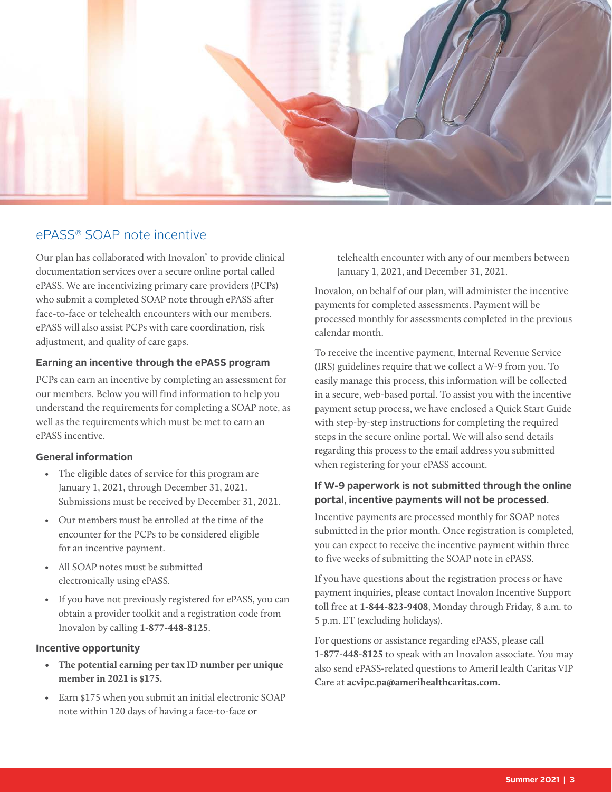<span id="page-2-0"></span>

### ePASS® SOAP note incentive

Our plan has collaborated with Inovalon<sup>®</sup> to provide clinical documentation services over a secure online portal called ePASS. We are incentivizing primary care providers (PCPs) who submit a completed SOAP note through ePASS after face-to-face or telehealth encounters with our members. ePASS will also assist PCPs with care coordination, risk adjustment, and quality of care gaps.

#### **Earning an incentive through the ePASS program**

PCPs can earn an incentive by completing an assessment for our members. Below you will find information to help you understand the requirements for completing a SOAP note, as well as the requirements which must be met to earn an ePASS incentive.

#### **General information**

- The eligible dates of service for this program are January 1, 2021, through December 31, 2021. Submissions must be received by December 31, 2021.
- Our members must be enrolled at the time of the encounter for the PCPs to be considered eligible for an incentive payment.
- All SOAP notes must be submitted electronically using ePASS.
- If you have not previously registered for ePASS, you can obtain a provider toolkit and a registration code from Inovalon by calling **1-877-448-8125**.

#### **Incentive opportunity**

- **• The potential earning per tax ID number per unique member in 2021 is \$175.**
- Earn \$175 when you submit an initial electronic SOAP note within 120 days of having a face-to-face or

telehealth encounter with any of our members between January 1, 2021, and December 31, 2021.

Inovalon, on behalf of our plan, will administer the incentive payments for completed assessments. Payment will be processed monthly for assessments completed in the previous calendar month.

To receive the incentive payment, Internal Revenue Service (IRS) guidelines require that we collect a W-9 from you. To easily manage this process, this information will be collected in a secure, web-based portal. To assist you with the incentive payment setup process, we have enclosed a Quick Start Guide with step-by-step instructions for completing the required steps in the secure online portal. We will also send details regarding this process to the email address you submitted when registering for your ePASS account.

#### **If W-9 paperwork is not submitted through the online portal, incentive payments will not be processed.**

Incentive payments are processed monthly for SOAP notes submitted in the prior month. Once registration is completed, you can expect to receive the incentive payment within three to five weeks of submitting the SOAP note in ePASS.

If you have questions about the registration process or have payment inquiries, please contact Inovalon Incentive Support toll free at **1-844-823-9408**, Monday through Friday, 8 a.m. to 5 p.m. ET (excluding holidays).

For questions or assistance regarding ePASS, please call **1-877-448-8125** to speak with an Inovalon associate. You may also send ePASS-related questions to AmeriHealth Caritas VIP Care at **acvipc.pa@amerihealthcaritas.com.**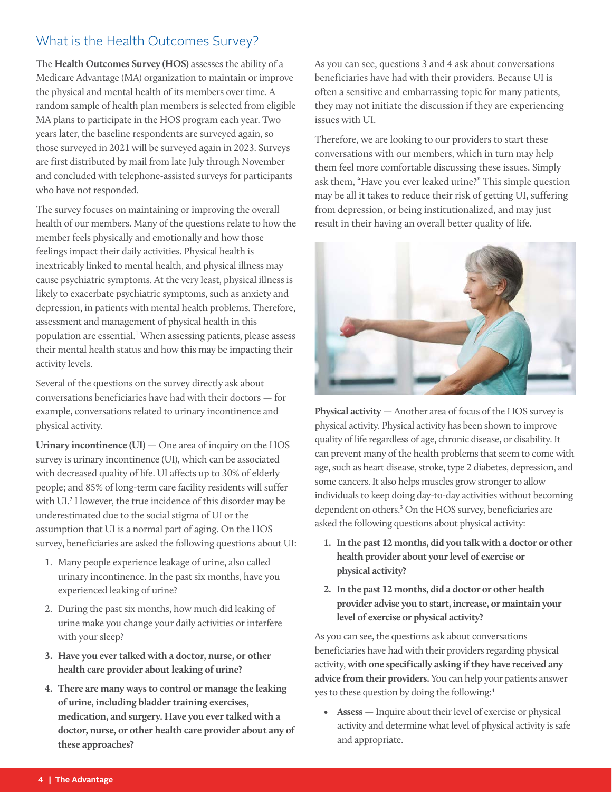## <span id="page-3-0"></span>What is the Health Outcomes Survey?

The **Health Outcomes Survey (HOS)** assesses the ability of a Medicare Advantage (MA) organization to maintain or improve the physical and mental health of its members over time. A random sample of health plan members is selected from eligible MA plans to participate in the HOS program each year. Two years later, the baseline respondents are surveyed again, so those surveyed in 2021 will be surveyed again in 2023. Surveys are first distributed by mail from late July through November and concluded with telephone-assisted surveys for participants who have not responded.

The survey focuses on maintaining or improving the overall health of our members. Many of the questions relate to how the member feels physically and emotionally and how those feelings impact their daily activities. Physical health is inextricably linked to mental health, and physical illness may cause psychiatric symptoms. At the very least, physical illness is likely to exacerbate psychiatric symptoms, such as anxiety and depression, in patients with mental health problems. Therefore, assessment and management of physical health in this population are essential.<sup>1</sup> When assessing patients, please assess their mental health status and how this may be impacting their activity levels.

Several of the questions on the survey directly ask about conversations beneficiaries have had with their doctors — for example, conversations related to urinary incontinence and physical activity.

**Urinary incontinence (UI)** — One area of inquiry on the HOS survey is urinary incontinence (UI), which can be associated with decreased quality of life. UI affects up to 30% of elderly people; and 85% of long-term care facility residents will suffer with UI.2 However, the true incidence of this disorder may be underestimated due to the social stigma of UI or the assumption that UI is a normal part of aging. On the HOS survey, beneficiaries are asked the following questions about UI:

- 1. Many people experience leakage of urine, also called urinary incontinence. In the past six months, have you experienced leaking of urine?
- 2. During the past six months, how much did leaking of urine make you change your daily activities or interfere with your sleep?
- **3. Have you ever talked with a doctor, nurse, or other health care provider about leaking of urine?**
- **4. There are many ways to control or manage the leaking of urine, including bladder training exercises, medication, and surgery. Have you ever talked with a doctor, nurse, or other health care provider about any of these approaches?**

As you can see, questions 3 and 4 ask about conversations beneficiaries have had with their providers. Because UI is often a sensitive and embarrassing topic for many patients, they may not initiate the discussion if they are experiencing issues with UI.

Therefore, we are looking to our providers to start these conversations with our members, which in turn may help them feel more comfortable discussing these issues. Simply ask them, "Have you ever leaked urine?" This simple question may be all it takes to reduce their risk of getting UI, suffering from depression, or being institutionalized, and may just result in their having an overall better quality of life.



**Physical activity** — Another area of focus of the HOS survey is physical activity. Physical activity has been shown to improve quality of life regardless of age, chronic disease, or disability. It can prevent many of the health problems that seem to come with age, such as heart disease, stroke, type 2 diabetes, depression, and some cancers. It also helps muscles grow stronger to allow individuals to keep doing day-to-day activities without becoming dependent on others.3 On the HOS survey, beneficiaries are asked the following questions about physical activity:

- **1. In the past 12 months, did you talk with a doctor or other health provider about your level of exercise or physical activity?**
- **2. In the past 12 months, did a doctor or other health provider advise you to start, increase, or maintain your level of exercise or physical activity?**

As you can see, the questions ask about conversations beneficiaries have had with their providers regarding physical activity, **with one specifically asking if they have received any advice from their providers.** You can help your patients answer yes to these question by doing the following:4

**• Assess** — Inquire about their level of exercise or physical activity and determine what level of physical activity is safe and appropriate.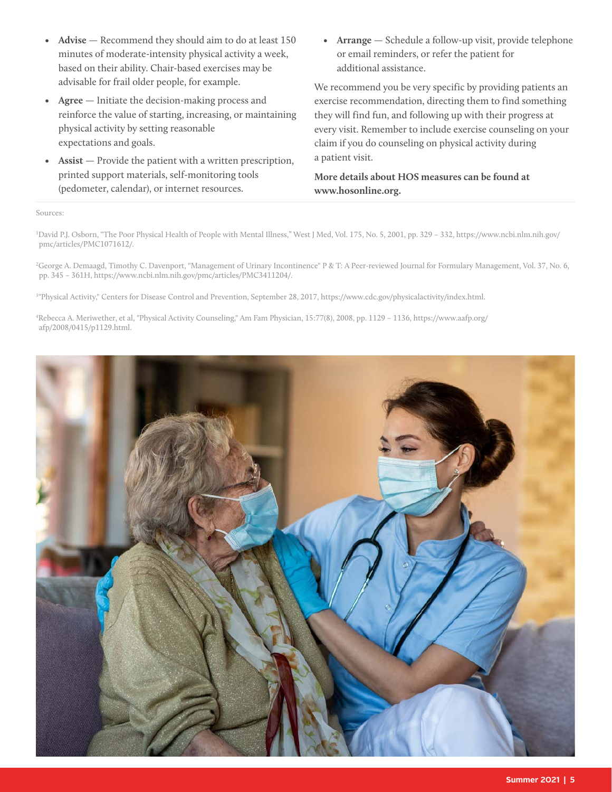- **• Advise** Recommend they should aim to do at least 150 minutes of moderate-intensity physical activity a week, based on their ability. Chair-based exercises may be advisable for frail older people, for example.
- **• Agree** Initiate the decision-making process and reinforce the value of starting, increasing, or maintaining physical activity by setting reasonable expectations and goals.
- **• Assist** Provide the patient with a written prescription, printed support materials, self-monitoring tools (pedometer, calendar), or internet resources.

**• Arrange** — Schedule a follow-up visit, provide telephone or email reminders, or refer the patient for additional assistance.

We recommend you be very specific by providing patients an exercise recommendation, directing them to find something they will find fun, and following up with their progress at every visit. Remember to include exercise counseling on your claim if you do counseling on physical activity during a patient visit.

**More details about HOS measures can be found at www.hosonline.org.**

#### Sources:

1 David P.J. Osborn, "The Poor Physical Health of People with Mental Illness," West J Med, Vol. 175, No. 5, 2001, pp. 329 – 332, https://www.ncbi.nlm.nih.gov/ pmc/articles/PMC1071612/.

2 George A. Demaagd, Timothy C. Davenport, "Management of Urinary Incontinence" P & T: A Peer-reviewed Journal for Formulary Management, Vol. 37, No. 6, pp. 345 – 361H, https://www.ncbi.nlm.nih.gov/pmc/articles/PMC3411204/.

3 "Physical Activity," Centers for Disease Control and Prevention, September 28, 2017, https://www.cdc.gov/physicalactivity/index.html.

4 Rebecca A. Meriwether, et al, "Physical Activity Counseling," Am Fam Physician, 15:77(8), 2008, pp. 1129 – 1136, https://www.aafp.org/ afp/2008/0415/p1129.html.

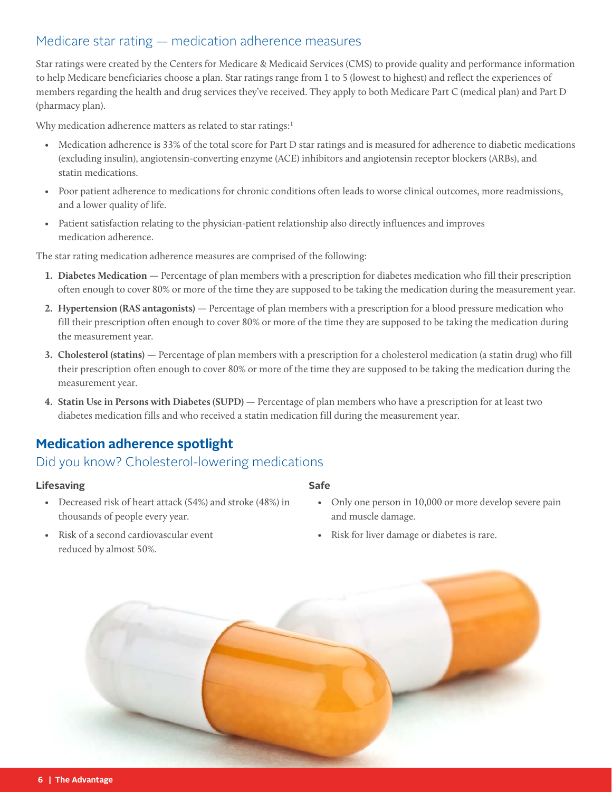## <span id="page-5-0"></span>Medicare star rating — medication adherence measures

Star ratings were created by the Centers for Medicare & Medicaid Services (CMS) to provide quality and performance information to help Medicare beneficiaries choose a plan. Star ratings range from 1 to 5 (lowest to highest) and reflect the experiences of members regarding the health and drug services they've received. They apply to both Medicare Part C (medical plan) and Part D (pharmacy plan).

Why medication adherence matters as related to star ratings:<sup>1</sup>

- Medication adherence is 33% of the total score for Part D star ratings and is measured for adherence to diabetic medications (excluding insulin), angiotensin-converting enzyme (ACE) inhibitors and angiotensin receptor blockers (ARBs), and statin medications.
- Poor patient adherence to medications for chronic conditions often leads to worse clinical outcomes, more readmissions, and a lower quality of life.
- Patient satisfaction relating to the physician-patient relationship also directly influences and improves medication adherence.

The star rating medication adherence measures are comprised of the following:

- **1. Diabetes Medication**  Percentage of plan members with a prescription for diabetes medication who fill their prescription often enough to cover 80% or more of the time they are supposed to be taking the medication during the measurement year.
- **2. Hypertension (RAS antagonists)**  Percentage of plan members with a prescription for a blood pressure medication who fill their prescription often enough to cover 80% or more of the time they are supposed to be taking the medication during the measurement year.
- **3. Cholesterol (statins)** Percentage of plan members with a prescription for a cholesterol medication (a statin drug) who fill their prescription often enough to cover 80% or more of the time they are supposed to be taking the medication during the measurement year.
- **4. Statin Use in Persons with Diabetes (SUPD)**  Percentage of plan members who have a prescription for at least two diabetes medication fills and who received a statin medication fill during the measurement year.

## **Medication adherence spotlight**

## Did you know? Cholesterol-lowering medications

#### **Lifesaving**

- Decreased risk of heart attack (54%) and stroke (48%) in thousands of people every year.
- Risk of a second cardiovascular event reduced by almost 50%.

#### **Safe**

- Only one person in 10,000 or more develop severe pain and muscle damage.
- Risk for liver damage or diabetes is rare.

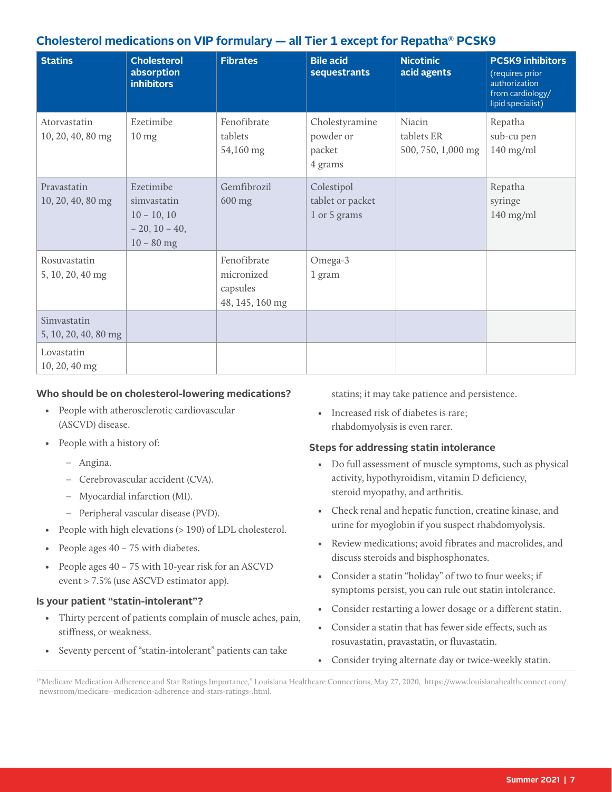## **Cholesterol medications on VIP formulary — all Tier 1 except for Repatha® PCSK9**

| <b>Statins</b>                      | <b>Cholesterol</b><br>absorption<br><b>inhibitors</b>                        | <b>Fibrates</b>                                          | <b>Bile acid</b><br>sequestrants                 | <b>Nicotinic</b><br>acid agents            | <b>PCSK9 inhibitors</b><br>(requires prior<br>authorization<br>from cardiology/<br>lipid specialist) |
|-------------------------------------|------------------------------------------------------------------------------|----------------------------------------------------------|--------------------------------------------------|--------------------------------------------|------------------------------------------------------------------------------------------------------|
| Atorvastatin<br>10, 20, 40, 80 mg   | Ezetimibe<br>$10 \text{ mg}$                                                 | Fenofibrate<br>tablets<br>54,160 mg                      | Cholestyramine<br>powder or<br>packet<br>4 grams | Niacin<br>tablets ER<br>500, 750, 1,000 mg | Repatha<br>sub-cu pen<br>$140$ mg/ml                                                                 |
| Pravastatin<br>10, 20, 40, 80 mg    | Ezetimibe<br>simvastatin<br>$10 - 10, 10$<br>$-20, 10 - 40,$<br>$10 - 80$ mg | Gemfibrozil<br>600 mg                                    | Colestipol<br>tablet or packet<br>1 or 5 grams   |                                            | Repatha<br>syringe<br>$140$ mg/ml                                                                    |
| Rosuvastatin<br>5, 10, 20, 40 mg    |                                                                              | Fenofibrate<br>micronized<br>capsules<br>48, 145, 160 mg | Omega-3<br>1 gram                                |                                            |                                                                                                      |
| Simvastatin<br>5, 10, 20, 40, 80 mg |                                                                              |                                                          |                                                  |                                            |                                                                                                      |
| Lovastatin<br>10, 20, 40 mg         |                                                                              |                                                          |                                                  |                                            |                                                                                                      |

#### **Who should be on cholesterol-lowering medications?**

- People with atherosclerotic cardiovascular (ASCVD) disease.
- People with a history of:
	- Angina.
	- Cerebrovascular accident (CVA).
	- Myocardial infarction (MI).
	- Peripheral vascular disease (PVD).
- People with high elevations (> 190) of LDL cholesterol.
- People ages 40 75 with diabetes.
- People ages 40 75 with 10-year risk for an ASCVD event > 7.5% (use ASCVD estimator app).

#### **Is your patient "statin-intolerant"?**

- Thirty percent of patients complain of muscle aches, pain, stiffness, or weakness.
- Seventy percent of "statin-intolerant" patients can take

statins; it may take patience and persistence.

• Increased risk of diabetes is rare; rhabdomyolysis is even rarer.

#### **Steps for addressing statin intolerance**

- Do full assessment of muscle symptoms, such as physical activity, hypothyroidism, vitamin D deficiency, steroid myopathy, and arthritis.
- Check renal and hepatic function, creatine kinase, and urine for myoglobin if you suspect rhabdomyolysis.
- Review medications; avoid fibrates and macrolides, and discuss steroids and bisphosphonates.
- Consider a statin "holiday" of two to four weeks; if symptoms persist, you can rule out statin intolerance.
- Consider restarting a lower dosage or a different statin.
- Consider a statin that has fewer side effects, such as rosuvastatin, pravastatin, or fluvastatin.
- Consider trying alternate day or twice-weekly statin.

1 "Medicare Medication Adherence and Star Ratings Importance," Louisiana Healthcare Connections, May 27, 2020, https://www.louisianahealthconnect.com/ newsroom/medicare--medication-adherence-and-stars-ratings-.html.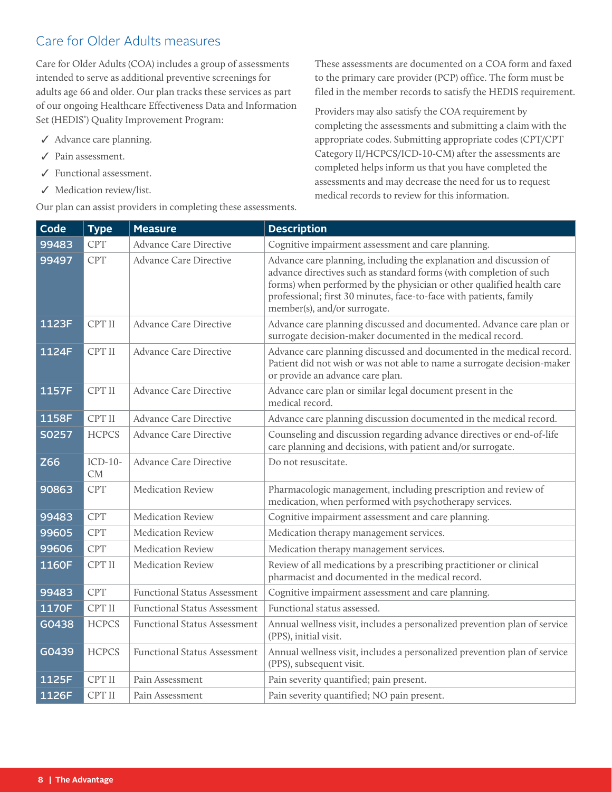## <span id="page-7-0"></span>Care for Older Adults measures

Care for Older Adults (COA) includes a group of assessments intended to serve as additional preventive screenings for adults age 66 and older. Our plan tracks these services as part of our ongoing Healthcare Effectiveness Data and Information Set (HEDIS<sup>®</sup>) Quality Improvement Program:

- ✓ Advance care planning.
- ✓ Pain assessment.
- ✓ Functional assessment.
- ✓ Medication review/list.

Our plan can assist providers in completing these assessments.

These assessments are documented on a COA form and faxed to the primary care provider (PCP) office. The form must be filed in the member records to satisfy the HEDIS requirement.

Providers may also satisfy the COA requirement by completing the assessments and submitting a claim with the appropriate codes. Submitting appropriate codes (CPT/CPT Category II/HCPCS/ICD-10-CM) after the assessments are completed helps inform us that you have completed the assessments and may decrease the need for us to request medical records to review for this information.

| Code       | <b>Type</b>          | <b>Measure</b>                      | <b>Description</b>                                                                                                                                                                                                                                                                                                      |
|------------|----------------------|-------------------------------------|-------------------------------------------------------------------------------------------------------------------------------------------------------------------------------------------------------------------------------------------------------------------------------------------------------------------------|
| 99483      | <b>CPT</b>           | <b>Advance Care Directive</b>       | Cognitive impairment assessment and care planning.                                                                                                                                                                                                                                                                      |
| 99497      | <b>CPT</b>           | <b>Advance Care Directive</b>       | Advance care planning, including the explanation and discussion of<br>advance directives such as standard forms (with completion of such<br>forms) when performed by the physician or other qualified health care<br>professional; first 30 minutes, face-to-face with patients, family<br>member(s), and/or surrogate. |
| 1123F      | CPT II               | <b>Advance Care Directive</b>       | Advance care planning discussed and documented. Advance care plan or<br>surrogate decision-maker documented in the medical record.                                                                                                                                                                                      |
| 1124F      | CPT II               | <b>Advance Care Directive</b>       | Advance care planning discussed and documented in the medical record.<br>Patient did not wish or was not able to name a surrogate decision-maker<br>or provide an advance care plan.                                                                                                                                    |
| 1157F      | CPT II               | <b>Advance Care Directive</b>       | Advance care plan or similar legal document present in the<br>medical record.                                                                                                                                                                                                                                           |
| 1158F      | CPT II               | <b>Advance Care Directive</b>       | Advance care planning discussion documented in the medical record.                                                                                                                                                                                                                                                      |
| S0257      | <b>HCPCS</b>         | <b>Advance Care Directive</b>       | Counseling and discussion regarding advance directives or end-of-life<br>care planning and decisions, with patient and/or surrogate.                                                                                                                                                                                    |
| <b>Z66</b> | ICD-10-<br><b>CM</b> | <b>Advance Care Directive</b>       | Do not resuscitate.                                                                                                                                                                                                                                                                                                     |
| 90863      | CPT                  | <b>Medication Review</b>            | Pharmacologic management, including prescription and review of<br>medication, when performed with psychotherapy services.                                                                                                                                                                                               |
| 99483      | <b>CPT</b>           | <b>Medication Review</b>            | Cognitive impairment assessment and care planning.                                                                                                                                                                                                                                                                      |
| 99605      | <b>CPT</b>           | <b>Medication Review</b>            | Medication therapy management services.                                                                                                                                                                                                                                                                                 |
| 99606      | <b>CPT</b>           | <b>Medication Review</b>            | Medication therapy management services.                                                                                                                                                                                                                                                                                 |
| 1160F      | CPT II               | <b>Medication Review</b>            | Review of all medications by a prescribing practitioner or clinical<br>pharmacist and documented in the medical record.                                                                                                                                                                                                 |
| 99483      | <b>CPT</b>           | <b>Functional Status Assessment</b> | Cognitive impairment assessment and care planning.                                                                                                                                                                                                                                                                      |
| 1170F      | CPT II               | <b>Functional Status Assessment</b> | Functional status assessed.                                                                                                                                                                                                                                                                                             |
| G0438      | <b>HCPCS</b>         | <b>Functional Status Assessment</b> | Annual wellness visit, includes a personalized prevention plan of service<br>(PPS), initial visit.                                                                                                                                                                                                                      |
| G0439      | <b>HCPCS</b>         | <b>Functional Status Assessment</b> | Annual wellness visit, includes a personalized prevention plan of service<br>(PPS), subsequent visit.                                                                                                                                                                                                                   |
| 1125F      | CPT II               | Pain Assessment                     | Pain severity quantified; pain present.                                                                                                                                                                                                                                                                                 |
| 1126F      | CPT II               | Pain Assessment                     | Pain severity quantified; NO pain present.                                                                                                                                                                                                                                                                              |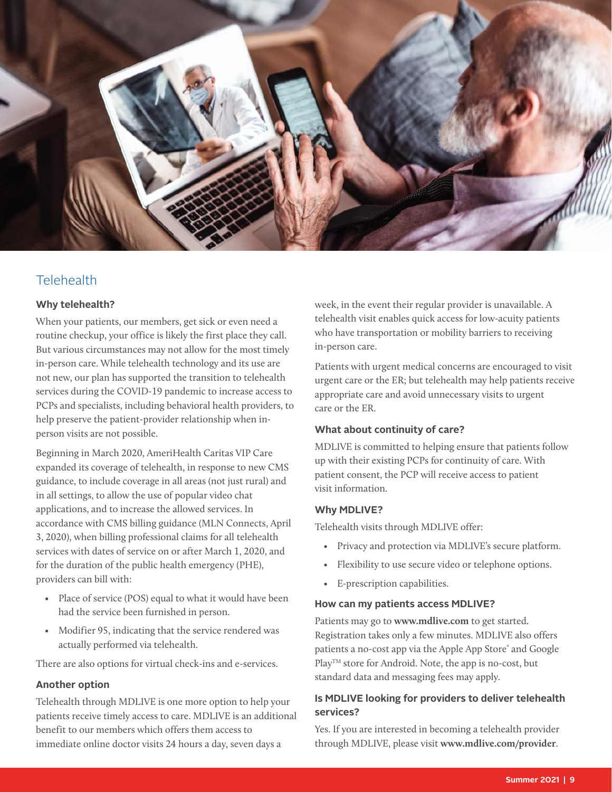<span id="page-8-0"></span>

## **Telehealth**

#### **Why telehealth?**

When your patients, our members, get sick or even need a routine checkup, your office is likely the first place they call. But various circumstances may not allow for the most timely in-person care. While telehealth technology and its use are not new, our plan has supported the transition to telehealth services during the COVID-19 pandemic to increase access to PCPs and specialists, including behavioral health providers, to help preserve the patient-provider relationship when inperson visits are not possible.

Beginning in March 2020, AmeriHealth Caritas VIP Care expanded its coverage of telehealth, in response to new CMS guidance, to include coverage in all areas (not just rural) and in all settings, to allow the use of popular video chat applications, and to increase the allowed services. In accordance with CMS billing guidance (MLN Connects, April 3, 2020), when billing professional claims for all telehealth services with dates of service on or after March 1, 2020, and for the duration of the public health emergency (PHE), providers can bill with:

- Place of service (POS) equal to what it would have been had the service been furnished in person.
- Modifier 95, indicating that the service rendered was actually performed via telehealth.

There are also options for virtual check-ins and e-services.

#### **Another option**

Telehealth through MDLIVE is one more option to help your patients receive timely access to care. MDLIVE is an additional benefit to our members which offers them access to immediate online doctor visits 24 hours a day, seven days a

week, in the event their regular provider is unavailable. A telehealth visit enables quick access for low-acuity patients who have transportation or mobility barriers to receiving in-person care.

Patients with urgent medical concerns are encouraged to visit urgent care or the ER; but telehealth may help patients receive appropriate care and avoid unnecessary visits to urgent care or the ER.

#### **What about continuity of care?**

MDLIVE is committed to helping ensure that patients follow up with their existing PCPs for continuity of care. With patient consent, the PCP will receive access to patient visit information.

#### **Why MDLIVE?**

Telehealth visits through MDLIVE offer:

- Privacy and protection via MDLIVE's secure platform.
- Flexibility to use secure video or telephone options.
- E-prescription capabilities.

#### **How can my patients access MDLIVE?**

Patients may go to **www.mdlive.com** to get started. Registration takes only a few minutes. MDLIVE also offers patients a no-cost app via the Apple App Store® and Google Play<sup>TM</sup> store for Android. Note, the app is no-cost, but standard data and messaging fees may apply.

#### **Is MDLIVE looking for providers to deliver telehealth services?**

Yes. If you are interested in becoming a telehealth provider through MDLIVE, please visit **www.mdlive.com/provider**.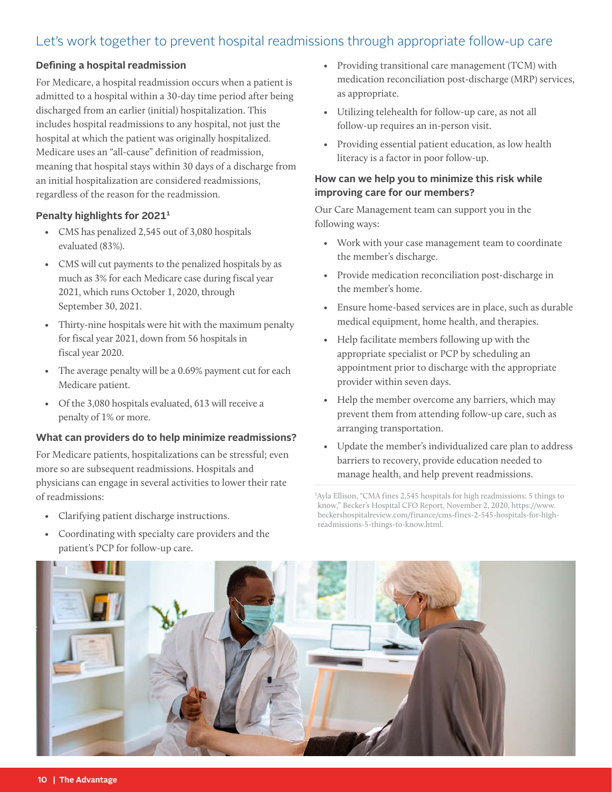## <span id="page-9-0"></span>Let's work together to prevent hospital readmissions through appropriate follow-up care

#### **Defining a hospital readmission**

For Medicare, a hospital readmission occurs when a patient is admitted to a hospital within a 30-day time period after being discharged from an earlier (initial) hospitalization. This includes hospital readmissions to any hospital, not just the hospital at which the patient was originally hospitalized. Medicare uses an "all-cause" definition of readmission, meaning that hospital stays within 30 days of a discharge from an initial hospitalization are considered readmissions, regardless of the reason for the readmission.

#### **Penalty highlights for 20211**

- CMS has penalized 2,545 out of 3,080 hospitals evaluated (83%).
- CMS will cut payments to the penalized hospitals by as much as 3% for each Medicare case during fiscal year 2021, which runs October 1, 2020, through September 30, 2021.
- Thirty-nine hospitals were hit with the maximum penalty for fiscal year 2021, down from 56 hospitals in fiscal year 2020.
- The average penalty will be a 0.69% payment cut for each Medicare patient.
- Of the 3,080 hospitals evaluated, 613 will receive a penalty of 1% or more.

#### **What can providers do to help minimize readmissions?**

For Medicare patients, hospitalizations can be stressful; even more so are subsequent readmissions. Hospitals and physicians can engage in several activities to lower their rate of readmissions:

- Clarifying patient discharge instructions.
- Coordinating with specialty care providers and the patient's PCP for follow-up care.
- Providing transitional care management (TCM) with medication reconciliation post-discharge (MRP) services, as appropriate.
- Utilizing telehealth for follow-up care, as not all follow-up requires an in-person visit.
- Providing essential patient education, as low health literacy is a factor in poor follow-up.

#### **How can we help you to minimize this risk while improving care for our members?**

Our Care Management team can support you in the following ways:

- Work with your case management team to coordinate the member's discharge.
- Provide medication reconciliation post-discharge in the member's home.
- Ensure home-based services are in place, such as durable medical equipment, home health, and therapies.
- Help facilitate members following up with the appropriate specialist or PCP by scheduling an appointment prior to discharge with the appropriate provider within seven days.
- Help the member overcome any barriers, which may prevent them from attending follow-up care, such as arranging transportation.
- Update the member's individualized care plan to address barriers to recovery, provide education needed to manage health, and help prevent readmissions.

1 Ayla Ellison, "CMA fines 2,545 hospitals for high readmissions: 5 things to know," Becker's Hospital CFO Report, November 2, 2020, https://www. beckershospitalreview.com/finance/cms-fines-2-545-hospitals-for-highreadmissions-5-things-to-know.html.

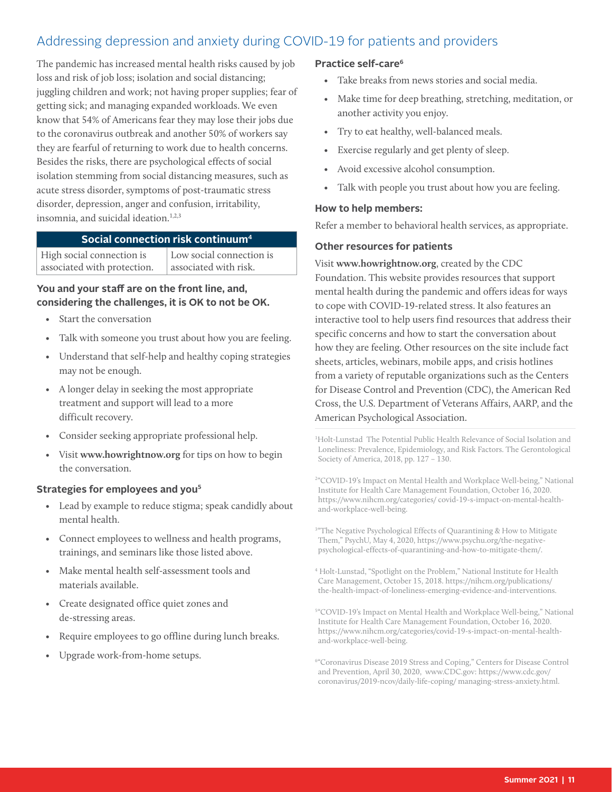## <span id="page-10-0"></span>Addressing depression and anxiety during COVID-19 for patients and providers

The pandemic has increased mental health risks caused by job loss and risk of job loss; isolation and social distancing; juggling children and work; not having proper supplies; fear of getting sick; and managing expanded workloads. We even know that 54% of Americans fear they may lose their jobs due to the coronavirus outbreak and another 50% of workers say they are fearful of returning to work due to health concerns. Besides the risks, there are psychological effects of social isolation stemming from social distancing measures, such as acute stress disorder, symptoms of post-traumatic stress disorder, depression, anger and confusion, irritability, insomnia, and suicidal ideation.<sup>1,2,3</sup>

#### **Social connection risk continuum4**

High social connection is associated with protection.

Low social connection is associated with risk.

#### **You and your staff are on the front line, and, considering the challenges, it is OK to not be OK.**

- Start the conversation
- Talk with someone you trust about how you are feeling.
- Understand that self-help and healthy coping strategies may not be enough.
- A longer delay in seeking the most appropriate treatment and support will lead to a more difficult recovery.
- Consider seeking appropriate professional help.
- Visit **www.howrightnow.org** for tips on how to begin the conversation.

#### **Strategies for employees and you5**

- Lead by example to reduce stigma; speak candidly about mental health.
- Connect employees to wellness and health programs, trainings, and seminars like those listed above.
- Make mental health self-assessment tools and materials available.
- Create designated office quiet zones and de-stressing areas.
- Require employees to go offline during lunch breaks.
- Upgrade work-from-home setups.

#### **Practice self-care6**

- Take breaks from news stories and social media.
- Make time for deep breathing, stretching, meditation, or another activity you enjoy.
- Try to eat healthy, well-balanced meals.
- Exercise regularly and get plenty of sleep.
- Avoid excessive alcohol consumption.
- Talk with people you trust about how you are feeling.

#### **How to help members:**

Refer a member to behavioral health services, as appropriate.

#### **Other resources for patients**

Visit **www.howrightnow.org**, created by the CDC Foundation. This website provides resources that support mental health during the pandemic and offers ideas for ways to cope with COVID-19-related stress. It also features an interactive tool to help users find resources that address their specific concerns and how to start the conversation about how they are feeling. Other resources on the site include fact sheets, articles, webinars, mobile apps, and crisis hotlines from a variety of reputable organizations such as the Centers for Disease Control and Prevention (CDC), the American Red Cross, the U.S. Department of Veterans Affairs, AARP, and the American Psychological Association.

<sup>1</sup>Holt-Lunstad The Potential Public Health Relevance of Social Isolation and Loneliness: Prevalence, Epidemiology, and Risk Factors. The Gerontological Society of America, 2018, pp. 127 – 130.

2 "COVID-19's Impact on Mental Health and Workplace Well-being," National Institute for Health Care Management Foundation, October 16, 2020. https://www.nihcm.org/categories/ covid-19-s-impact-on-mental-healthand-workplace-well-being.

- <sup>3"</sup>The Negative Psychological Effects of Quarantining & How to Mitigate Them," PsychU, May 4, 2020, https://www.psychu.org/the-negativepsychological-effects-of-quarantining-and-how-to-mitigate-them/.
- 4 Holt-Lunstad, "Spotlight on the Problem," National Institute for Health Care Management, October 15, 2018. https://nihcm.org/publications/ the-health-impact-of-loneliness-emerging-evidence-and-interventions.

5 "COVID-19's Impact on Mental Health and Workplace Well-being," National Institute for Health Care Management Foundation, October 16, 2020. https://www.nihcm.org/categories/covid-19-s-impact-on-mental-healthand-workplace-well-being.

6 "Coronavirus Disease 2019 Stress and Coping," Centers for Disease Control and Prevention, April 30, 2020, www.CDC.gov: https://www.cdc.gov/ coronavirus/2019-ncov/daily-life-coping/ managing-stress-anxiety.html.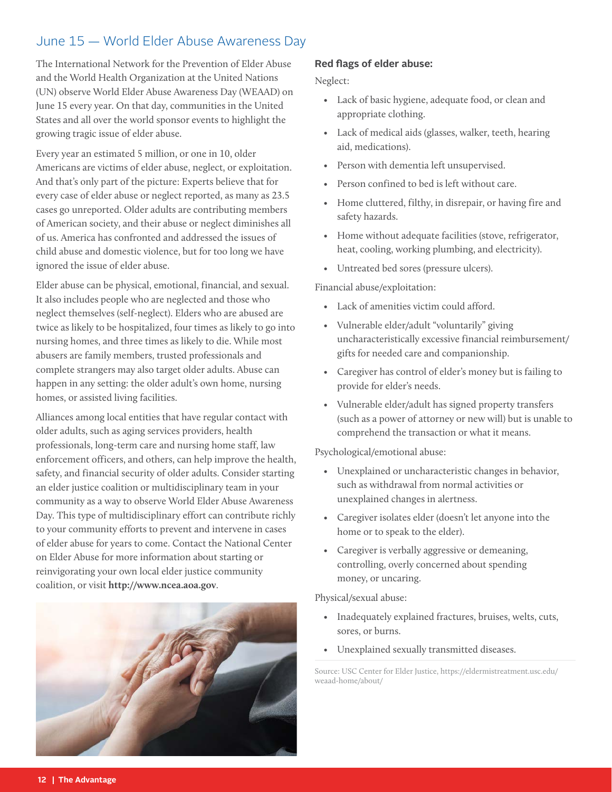## <span id="page-11-0"></span>June 15 — World Elder Abuse Awareness Day

The International Network for the Prevention of Elder Abuse and the World Health Organization at the United Nations (UN) observe World Elder Abuse Awareness Day (WEAAD) on June 15 every year. On that day, communities in the United States and all over the world sponsor events to highlight the growing tragic issue of elder abuse.

Every year an estimated 5 million, or one in 10, older Americans are victims of elder abuse, neglect, or exploitation. And that's only part of the picture: Experts believe that for every case of elder abuse or neglect reported, as many as 23.5 cases go unreported. Older adults are contributing members of American society, and their abuse or neglect diminishes all of us. America has confronted and addressed the issues of child abuse and domestic violence, but for too long we have ignored the issue of elder abuse.

Elder abuse can be physical, emotional, financial, and sexual. It also includes people who are neglected and those who neglect themselves (self-neglect). Elders who are abused are twice as likely to be hospitalized, four times as likely to go into nursing homes, and three times as likely to die. While most abusers are family members, trusted professionals and complete strangers may also target older adults. Abuse can happen in any setting: the older adult's own home, nursing homes, or assisted living facilities.

Alliances among local entities that have regular contact with older adults, such as aging services providers, health professionals, long-term care and nursing home staff, law enforcement officers, and others, can help improve the health, safety, and financial security of older adults. Consider starting an elder justice coalition or multidisciplinary team in your community as a way to observe World Elder Abuse Awareness Day. This type of multidisciplinary effort can contribute richly to your community efforts to prevent and intervene in cases of elder abuse for years to come. Contact the National Center on Elder Abuse for more information about starting or reinvigorating your own local elder justice community coalition, or visit **http://www.ncea.aoa.gov**.



#### **Red flags of elder abuse:**

Neglect:

- Lack of basic hygiene, adequate food, or clean and appropriate clothing.
- Lack of medical aids (glasses, walker, teeth, hearing aid, medications).
- Person with dementia left unsupervised.
- Person confined to bed is left without care.
- Home cluttered, filthy, in disrepair, or having fire and safety hazards.
- Home without adequate facilities (stove, refrigerator, heat, cooling, working plumbing, and electricity).
- Untreated bed sores (pressure ulcers).

Financial abuse/exploitation:

- Lack of amenities victim could afford.
- Vulnerable elder/adult "voluntarily" giving uncharacteristically excessive financial reimbursement/ gifts for needed care and companionship.
- Caregiver has control of elder's money but is failing to provide for elder's needs.
- Vulnerable elder/adult has signed property transfers (such as a power of attorney or new will) but is unable to comprehend the transaction or what it means.

Psychological/emotional abuse:

- Unexplained or uncharacteristic changes in behavior, such as withdrawal from normal activities or unexplained changes in alertness.
- Caregiver isolates elder (doesn't let anyone into the home or to speak to the elder).
- Caregiver is verbally aggressive or demeaning, controlling, overly concerned about spending money, or uncaring.

Physical/sexual abuse:

- Inadequately explained fractures, bruises, welts, cuts, sores, or burns.
- Unexplained sexually transmitted diseases.

Source: USC Center for Elder Justice, https://eldermistreatment.usc.edu/ weaad-home/about/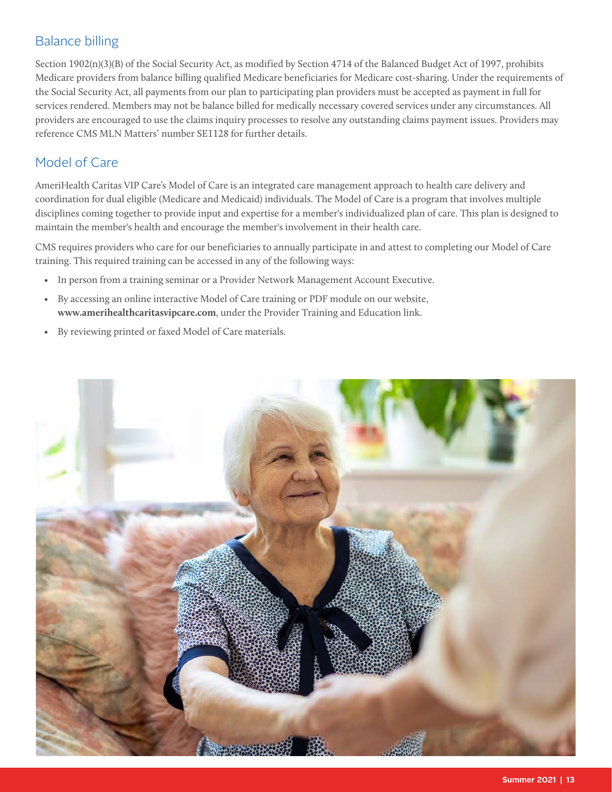## <span id="page-12-0"></span>Balance billing

Section 1902(n)(3)(B) of the Social Security Act, as modified by Section 4714 of the Balanced Budget Act of 1997, prohibits Medicare providers from balance billing qualified Medicare beneficiaries for Medicare cost-sharing. Under the requirements of the Social Security Act, all payments from our plan to participating plan providers must be accepted as payment in full for services rendered. Members may not be balance billed for medically necessary covered services under any circumstances. All providers are encouraged to use the claims inquiry processes to resolve any outstanding claims payment issues. Providers may reference CMS MLN Matters<sup>®</sup> number SE1128 for further details.

## Model of Care

AmeriHealth Caritas VIP Care's Model of Care is an integrated care management approach to health care delivery and coordination for dual eligible (Medicare and Medicaid) individuals. The Model of Care is a program that involves multiple disciplines coming together to provide input and expertise for a member's individualized plan of care. This plan is designed to maintain the member's health and encourage the member's involvement in their health care.

CMS requires providers who care for our beneficiaries to annually participate in and attest to completing our Model of Care training. This required training can be accessed in any of the following ways:

- In person from a training seminar or a Provider Network Management Account Executive.
- By accessing an online interactive Model of Care training or PDF module on our website, **www.amerihealthcaritasvipcare.com**, under the Provider Training and Education link.
- By reviewing printed or faxed Model of Care materials.

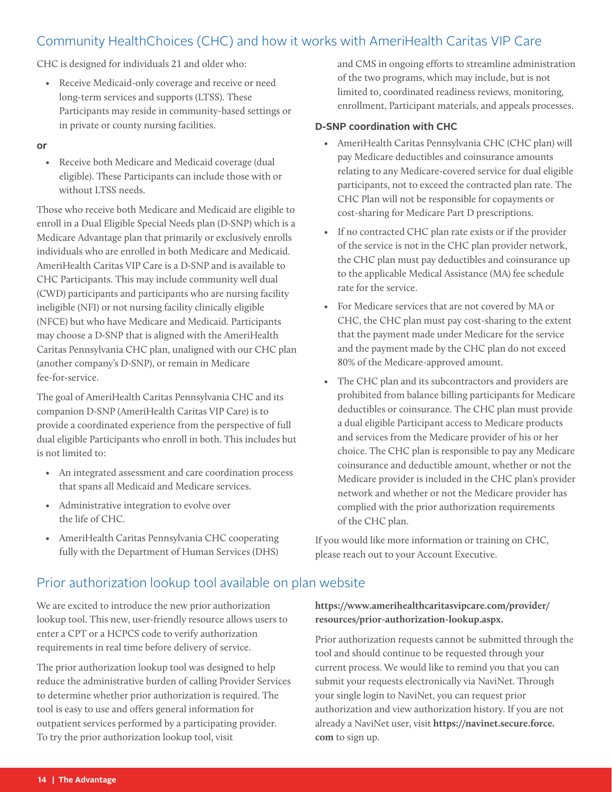## <span id="page-13-0"></span>Community HealthChoices (CHC) and how it works with AmeriHealth Caritas VIP Care

CHC is designed for individuals 21 and older who:

• Receive Medicaid-only coverage and receive or need long-term services and supports (LTSS). These Participants may reside in community-based settings or in private or county nursing facilities.

#### **or**

• Receive both Medicare and Medicaid coverage (dual eligible). These Participants can include those with or without LTSS needs.

Those who receive both Medicare and Medicaid are eligible to enroll in a Dual Eligible Special Needs plan (D-SNP) which is a Medicare Advantage plan that primarily or exclusively enrolls individuals who are enrolled in both Medicare and Medicaid. AmeriHealth Caritas VIP Care is a D-SNP and is available to CHC Participants. This may include community well dual (CWD) participants and participants who are nursing facility ineligible (NFI) or not nursing facility clinically eligible (NFCE) but who have Medicare and Medicaid. Participants may choose a D-SNP that is aligned with the AmeriHealth Caritas Pennsylvania CHC plan, unaligned with our CHC plan (another company's D-SNP), or remain in Medicare fee-for-service.

The goal of AmeriHealth Caritas Pennsylvania CHC and its companion D-SNP (AmeriHealth Caritas VIP Care) is to provide a coordinated experience from the perspective of full dual eligible Participants who enroll in both. This includes but is not limited to:

- An integrated assessment and care coordination process that spans all Medicaid and Medicare services.
- Administrative integration to evolve over the life of CHC.
- AmeriHealth Caritas Pennsylvania CHC cooperating fully with the Department of Human Services (DHS)

and CMS in ongoing efforts to streamline administration of the two programs, which may include, but is not limited to, coordinated readiness reviews, monitoring, enrollment, Participant materials, and appeals processes.

#### **D-SNP coordination with CHC**

- AmeriHealth Caritas Pennsylvania CHC (CHC plan) will pay Medicare deductibles and coinsurance amounts relating to any Medicare-covered service for dual eligible participants, not to exceed the contracted plan rate. The CHC Plan will not be responsible for copayments or cost-sharing for Medicare Part D prescriptions.
- If no contracted CHC plan rate exists or if the provider of the service is not in the CHC plan provider network, the CHC plan must pay deductibles and coinsurance up to the applicable Medical Assistance (MA) fee schedule rate for the service.
- For Medicare services that are not covered by MA or CHC, the CHC plan must pay cost-sharing to the extent that the payment made under Medicare for the service and the payment made by the CHC plan do not exceed 80% of the Medicare-approved amount.
- The CHC plan and its subcontractors and providers are prohibited from balance billing participants for Medicare deductibles or coinsurance. The CHC plan must provide a dual eligible Participant access to Medicare products and services from the Medicare provider of his or her choice. The CHC plan is responsible to pay any Medicare coinsurance and deductible amount, whether or not the Medicare provider is included in the CHC plan's provider network and whether or not the Medicare provider has complied with the prior authorization requirements of the CHC plan.

If you would like more information or training on CHC, please reach out to your Account Executive.

## Prior authorization lookup tool available on plan website

We are excited to introduce the new prior authorization lookup tool. This new, user-friendly resource allows users to enter a CPT or a HCPCS code to verify authorization requirements in real time before delivery of service.

The prior authorization lookup tool was designed to help reduce the administrative burden of calling Provider Services to determine whether prior authorization is required. The tool is easy to use and offers general information for outpatient services performed by a participating provider. To try the prior authorization lookup tool, visit

**[https://www.amerihealthcaritasvipcare.com/provider/](https://www.amerihealthcaritasvipcare.com/provider/resources/prior-authorization-lookup.aspx) [resources/prior-authorization-lookup.aspx](https://www.amerihealthcaritasvipcare.com/provider/resources/prior-authorization-lookup.aspx).**

Prior authorization requests cannot be submitted through the tool and should continue to be requested through your current process. We would like to remind you that you can submit your requests electronically via NaviNet. Through your single login to NaviNet, you can request prior authorization and view authorization history. If you are not already a NaviNet user, visit **https://navinet.secure.force. com** to sign up.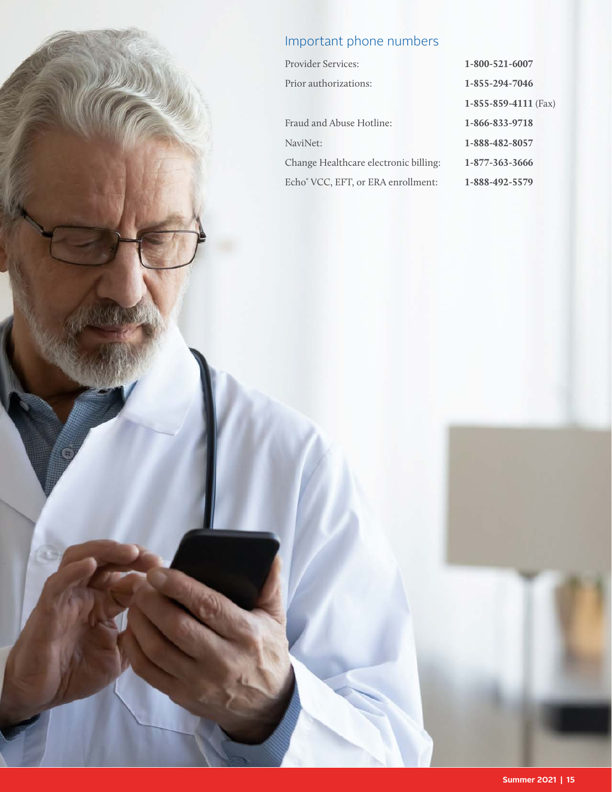## <span id="page-14-0"></span>Important phone numbers

| <b>Provider Services:</b>             | 1-800-521-6007               |
|---------------------------------------|------------------------------|
| Prior authorizations:                 | 1-855-294-7046               |
|                                       | $1 - 855 - 859 - 4111$ (Fax) |
| Fraud and Abuse Hotline:              | 1-866-833-9718               |
| NaviNet:                              | 1-888-482-8057               |
| Change Healthcare electronic billing: | 1-877-363-3666               |
| Echo® VCC, EFT, or ERA enrollment:    | 1-888-492-5579               |